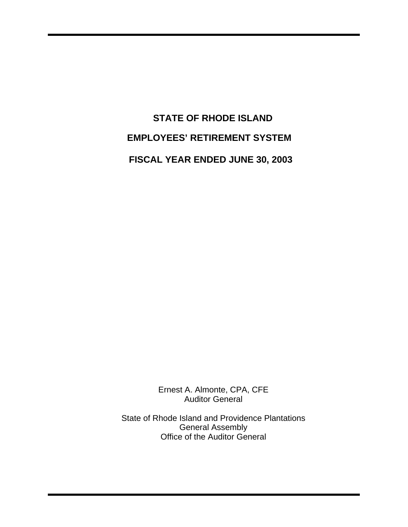**STATE OF RHODE ISLAND EMPLOYEES' RETIREMENT SYSTEM FISCAL YEAR ENDED JUNE 30, 2003** 

> Ernest A. Almonte, CPA, CFE Auditor General

State of Rhode Island and Providence Plantations General Assembly Office of the Auditor General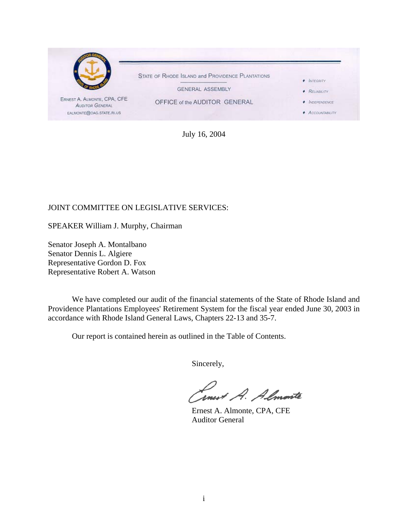

July 16, 2004

### JOINT COMMITTEE ON LEGISLATIVE SERVICES:

SPEAKER William J. Murphy, Chairman

Senator Joseph A. Montalbano Senator Dennis L. Algiere Representative Gordon D. Fox Representative Robert A. Watson

We have completed our audit of the financial statements of the State of Rhode Island and Providence Plantations Employees' Retirement System for the fiscal year ended June 30, 2003 in accordance with Rhode Island General Laws, Chapters 22-13 and 35-7.

Our report is contained herein as outlined in the Table of Contents.

Sincerely,

Smert A. Almonte

 Ernest A. Almonte, CPA, CFE Auditor General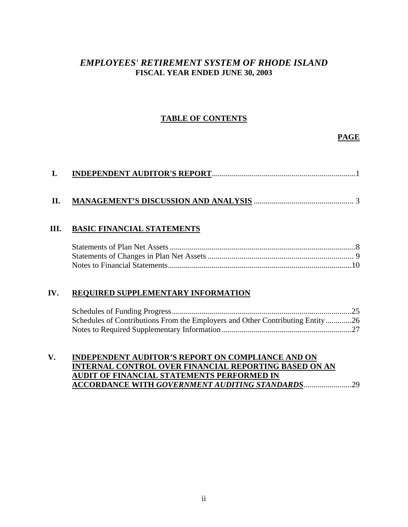### *EMPLOYEES' RETIREMENT SYSTEM OF RHODE ISLAND*  **FISCAL YEAR ENDED JUNE 30, 2003**

### **TABLE OF CONTENTS**

### **PAGE**

### **II. MANAGEMENT'S DISCUSSION AND ANALYSIS** .................................................. 3

### **III. BASIC FINANCIAL STATEMENTS**

### **IV. REQUIRED SUPPLEMENTARY INFORMATION**

| Schedules of Contributions From the Employers and Other Contributing Entity26 |  |
|-------------------------------------------------------------------------------|--|
|                                                                               |  |

### **V. INDEPENDENT AUDITOR'S REPORT ON COMPLIANCE AND ON INTERNAL CONTROL OVER FINANCIAL REPORTING BASED ON AN AUDIT OF FINANCIAL STATEMENTS PERFORMED IN ACCORDANCE WITH** *GOVERNMENT AUDITING STANDARDS*........................29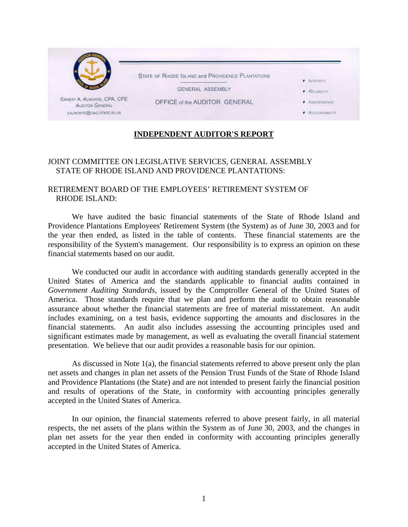

### **INDEPENDENT AUDITOR'S REPORT**

### JOINT COMMITTEE ON LEGISLATIVE SERVICES, GENERAL ASSEMBLY STATE OF RHODE ISLAND AND PROVIDENCE PLANTATIONS:

### RETIREMENT BOARD OF THE EMPLOYEES' RETIREMENT SYSTEM OF RHODE ISLAND:

We have audited the basic financial statements of the State of Rhode Island and Providence Plantations Employees' Retirement System (the System) as of June 30, 2003 and for the year then ended, as listed in the table of contents. These financial statements are the responsibility of the System's management. Our responsibility is to express an opinion on these financial statements based on our audit.

We conducted our audit in accordance with auditing standards generally accepted in the United States of America and the standards applicable to financial audits contained in *Government Auditing Standards,* issued by the Comptroller General of the United States of America. Those standards require that we plan and perform the audit to obtain reasonable assurance about whether the financial statements are free of material misstatement. An audit includes examining, on a test basis, evidence supporting the amounts and disclosures in the financial statements. An audit also includes assessing the accounting principles used and significant estimates made by management, as well as evaluating the overall financial statement presentation. We believe that our audit provides a reasonable basis for our opinion.

As discussed in Note 1(a), the financial statements referred to above present only the plan net assets and changes in plan net assets of the Pension Trust Funds of the State of Rhode Island and Providence Plantations (the State) and are not intended to present fairly the financial position and results of operations of the State, in conformity with accounting principles generally accepted in the United States of America.

In our opinion, the financial statements referred to above present fairly, in all material respects, the net assets of the plans within the System as of June 30, 2003, and the changes in plan net assets for the year then ended in conformity with accounting principles generally accepted in the United States of America.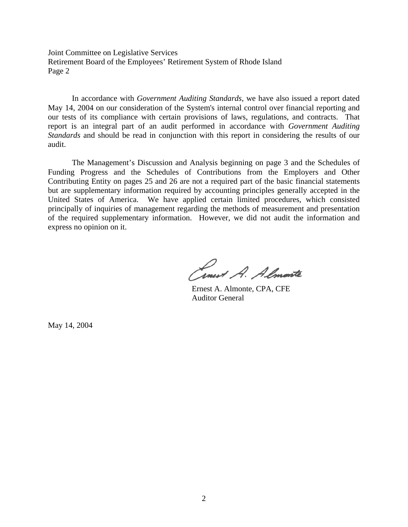Joint Committee on Legislative Services Retirement Board of the Employees' Retirement System of Rhode Island Page 2

In accordance with *Government Auditing Standards*, we have also issued a report dated May 14, 2004 on our consideration of the System's internal control over financial reporting and our tests of its compliance with certain provisions of laws, regulations, and contracts. That report is an integral part of an audit performed in accordance with *Government Auditing Standards* and should be read in conjunction with this report in considering the results of our audit.

The Management's Discussion and Analysis beginning on page 3 and the Schedules of Funding Progress and the Schedules of Contributions from the Employers and Other Contributing Entity on pages 25 and 26 are not a required part of the basic financial statements but are supplementary information required by accounting principles generally accepted in the United States of America. We have applied certain limited procedures, which consisted principally of inquiries of management regarding the methods of measurement and presentation of the required supplementary information. However, we did not audit the information and express no opinion on it.

Ernest A. Almonte

 Ernest A. Almonte, CPA, CFE Auditor General

May 14, 2004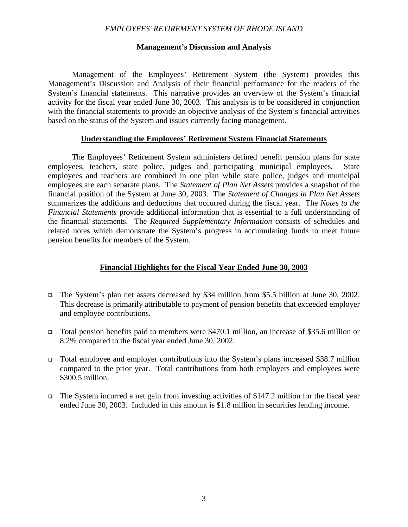#### **Management's Discussion and Analysis**

Management of the Employees' Retirement System (the System) provides this Management's Discussion and Analysis of their financial performance for the readers of the System's financial statements. This narrative provides an overview of the System's financial activity for the fiscal year ended June 30, 2003. This analysis is to be considered in conjunction with the financial statements to provide an objective analysis of the System's financial activities based on the status of the System and issues currently facing management.

### **Understanding the Employees' Retirement System Financial Statements**

 The Employees' Retirement System administers defined benefit pension plans for state employees, teachers, state police, judges and participating municipal employees. State employees and teachers are combined in one plan while state police, judges and municipal employees are each separate plans. The *Statement of Plan Net Assets* provides a snapshot of the financial position of the System at June 30, 2003. The *Statement of Changes in Plan Net Assets* summarizes the additions and deductions that occurred during the fiscal year. The *Notes to the Financial Statements* provide additional information that is essential to a full understanding of the financial statements. The *Required Supplementary Information* consists of schedules and related notes which demonstrate the System's progress in accumulating funds to meet future pension benefits for members of the System.

### **Financial Highlights for the Fiscal Year Ended June 30, 2003**

- The System's plan net assets decreased by \$34 million from \$5.5 billion at June 30, 2002. This decrease is primarily attributable to payment of pension benefits that exceeded employer and employee contributions.
- Total pension benefits paid to members were \$470.1 million, an increase of \$35.6 million or 8.2% compared to the fiscal year ended June 30, 2002.
- Total employee and employer contributions into the System's plans increased \$38.7 million compared to the prior year. Total contributions from both employers and employees were \$300.5 million.
- $\Box$  The System incurred a net gain from investing activities of \$147.2 million for the fiscal year ended June 30, 2003. Included in this amount is \$1.8 million in securities lending income.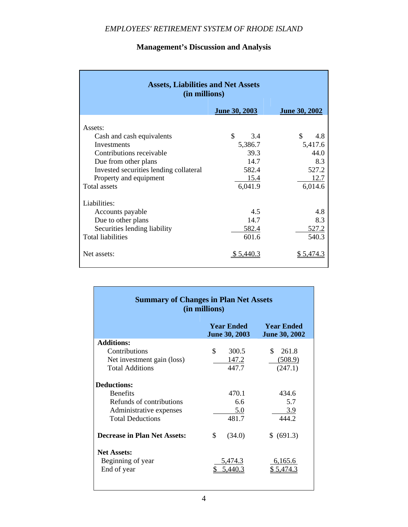| <b>Assets, Liabilities and Net Assets</b><br>(in millions)                               |                         |                        |  |  |  |  |  |
|------------------------------------------------------------------------------------------|-------------------------|------------------------|--|--|--|--|--|
|                                                                                          | June 30, 2003           | <b>June 30, 2002</b>   |  |  |  |  |  |
| Assets:<br>Cash and cash equivalents                                                     | \$<br>3.4               | \$<br>4.8              |  |  |  |  |  |
| Investments<br>Contributions receivable                                                  | 5,386.7<br>39.3<br>14.7 | 5,417.6<br>44.0<br>8.3 |  |  |  |  |  |
| Due from other plans<br>Invested securities lending collateral<br>Property and equipment | 582.4<br>15.4           | 527.2<br>12.7          |  |  |  |  |  |
| <b>Total assets</b>                                                                      | 6,041.9                 | 6,014.6                |  |  |  |  |  |
| Liabilities:                                                                             |                         |                        |  |  |  |  |  |
| Accounts payable                                                                         | 4.5                     | 4.8                    |  |  |  |  |  |
| Due to other plans                                                                       | 14.7                    | 8.3                    |  |  |  |  |  |
| Securities lending liability<br><b>Total liabilities</b>                                 | 582.4<br>601.6          | 527.2<br>540.3         |  |  |  |  |  |
| Net assets:                                                                              | \$5,440.3               | \$5,474.3              |  |  |  |  |  |

### **Management's Discussion and Analysis**

| <b>Summary of Changes in Plan Net Assets</b><br>(in millions) |                                           |                                           |  |  |  |  |  |
|---------------------------------------------------------------|-------------------------------------------|-------------------------------------------|--|--|--|--|--|
|                                                               | <b>Year Ended</b><br><b>June 30, 2003</b> | <b>Year Ended</b><br><b>June 30, 2002</b> |  |  |  |  |  |
| <b>Additions:</b>                                             |                                           |                                           |  |  |  |  |  |
| Contributions                                                 | \$<br>300.5                               | \$<br>261.8                               |  |  |  |  |  |
| Net investment gain (loss)                                    | 147.2                                     | (508.9)                                   |  |  |  |  |  |
| <b>Total Additions</b>                                        | 447.7                                     | (247.1)                                   |  |  |  |  |  |
| <b>Deductions:</b>                                            |                                           |                                           |  |  |  |  |  |
| <b>Benefits</b>                                               | 470.1                                     | 434.6                                     |  |  |  |  |  |
| Refunds of contributions                                      | 6.6                                       | 5.7                                       |  |  |  |  |  |
| Administrative expenses                                       | 5.0                                       | 3.9                                       |  |  |  |  |  |
| <b>Total Deductions</b>                                       | 481.7                                     | 444.2                                     |  |  |  |  |  |
| <b>Decrease in Plan Net Assets:</b>                           | \$<br>(34.0)                              | \$ (691.3)                                |  |  |  |  |  |
| <b>Net Assets:</b>                                            |                                           |                                           |  |  |  |  |  |
| Beginning of year                                             | 5,474.3                                   | 6,165.6                                   |  |  |  |  |  |
| End of year                                                   |                                           |                                           |  |  |  |  |  |

Ť.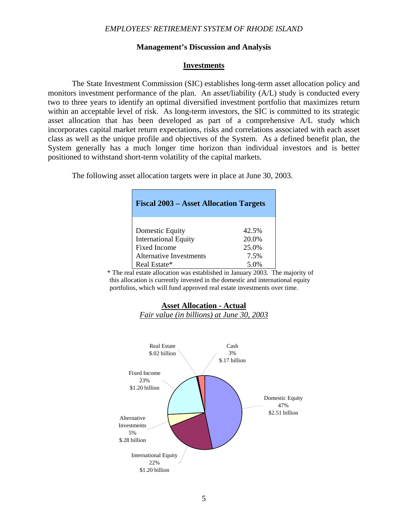#### **Management's Discussion and Analysis**

#### **Investments**

The State Investment Commission (SIC) establishes long-term asset allocation policy and monitors investment performance of the plan. An asset/liability (A/L) study is conducted every two to three years to identify an optimal diversified investment portfolio that maximizes return within an acceptable level of risk. As long-term investors, the SIC is committed to its strategic asset allocation that has been developed as part of a comprehensive A/L study which incorporates capital market return expectations, risks and correlations associated with each asset class as well as the unique profile and objectives of the System. As a defined benefit plan, the System generally has a much longer time horizon than individual investors and is better positioned to withstand short-term volatility of the capital markets.

The following asset allocation targets were in place at June 30, 2003.

| <b>Fiscal 2003 – Asset Allocation Targets</b> |       |  |  |  |  |
|-----------------------------------------------|-------|--|--|--|--|
| Domestic Equity                               | 42.5% |  |  |  |  |
| <b>International Equity</b>                   | 20.0% |  |  |  |  |
| Fixed Income                                  | 25.0% |  |  |  |  |
| Alternative Investments                       | 7.5%  |  |  |  |  |
| Real Estate*                                  | 5.0%  |  |  |  |  |

 \* The real estate allocation was established in January 2003. The majority of this allocation is currently invested in the domestic and international equity portfolios, which will fund approved real estate investments over time.



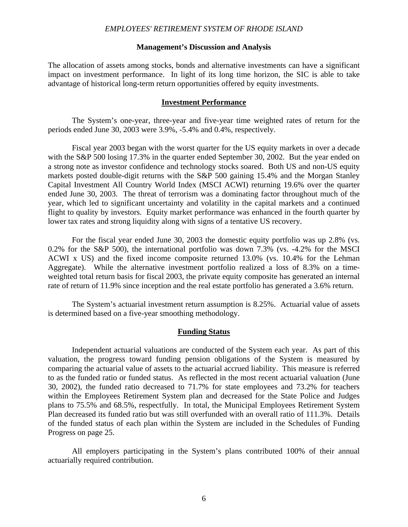#### **Management's Discussion and Analysis**

The allocation of assets among stocks, bonds and alternative investments can have a significant impact on investment performance. In light of its long time horizon, the SIC is able to take advantage of historical long-term return opportunities offered by equity investments.

#### **Investment Performance**

 The System's one-year, three-year and five-year time weighted rates of return for the periods ended June 30, 2003 were 3.9%, -5.4% and 0.4%, respectively.

 Fiscal year 2003 began with the worst quarter for the US equity markets in over a decade with the S&P 500 losing 17.3% in the quarter ended September 30, 2002. But the year ended on a strong note as investor confidence and technology stocks soared. Both US and non-US equity markets posted double-digit returns with the S&P 500 gaining 15.4% and the Morgan Stanley Capital Investment All Country World Index (MSCI ACWI) returning 19.6% over the quarter ended June 30, 2003. The threat of terrorism was a dominating factor throughout much of the year, which led to significant uncertainty and volatility in the capital markets and a continued flight to quality by investors. Equity market performance was enhanced in the fourth quarter by lower tax rates and strong liquidity along with signs of a tentative US recovery.

For the fiscal year ended June 30, 2003 the domestic equity portfolio was up 2.8% (vs. 0.2% for the S&P 500), the international portfolio was down 7.3% (vs. -4.2% for the MSCI ACWI x US) and the fixed income composite returned 13.0% (vs. 10.4% for the Lehman Aggregate). While the alternative investment portfolio realized a loss of 8.3% on a timeweighted total return basis for fiscal 2003, the private equity composite has generated an internal rate of return of 11.9% since inception and the real estate portfolio has generated a 3.6% return.

The System's actuarial investment return assumption is 8.25%. Actuarial value of assets is determined based on a five-year smoothing methodology.

#### **Funding Status**

 Independent actuarial valuations are conducted of the System each year. As part of this valuation, the progress toward funding pension obligations of the System is measured by comparing the actuarial value of assets to the actuarial accrued liability. This measure is referred to as the funded ratio or funded status. As reflected in the most recent actuarial valuation (June 30, 2002), the funded ratio decreased to 71.7% for state employees and 73.2% for teachers within the Employees Retirement System plan and decreased for the State Police and Judges plans to 75.5% and 68.5%, respectfully. In total, the Municipal Employees Retirement System Plan decreased its funded ratio but was still overfunded with an overall ratio of 111.3%. Details of the funded status of each plan within the System are included in the Schedules of Funding Progress on page 25.

 All employers participating in the System's plans contributed 100% of their annual actuarially required contribution.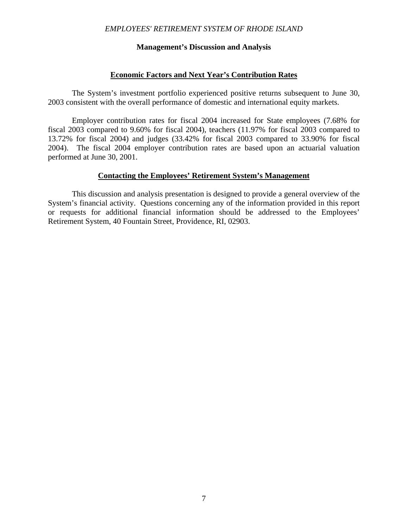#### **Management's Discussion and Analysis**

#### **Economic Factors and Next Year's Contribution Rates**

 The System's investment portfolio experienced positive returns subsequent to June 30, 2003 consistent with the overall performance of domestic and international equity markets.

 Employer contribution rates for fiscal 2004 increased for State employees (7.68% for fiscal 2003 compared to 9.60% for fiscal 2004), teachers (11.97% for fiscal 2003 compared to 13.72% for fiscal 2004) and judges (33.42% for fiscal 2003 compared to 33.90% for fiscal 2004). The fiscal 2004 employer contribution rates are based upon an actuarial valuation performed at June 30, 2001.

#### **Contacting the Employees' Retirement System's Management**

 This discussion and analysis presentation is designed to provide a general overview of the System's financial activity. Questions concerning any of the information provided in this report or requests for additional financial information should be addressed to the Employees' Retirement System, 40 Fountain Street, Providence, RI, 02903.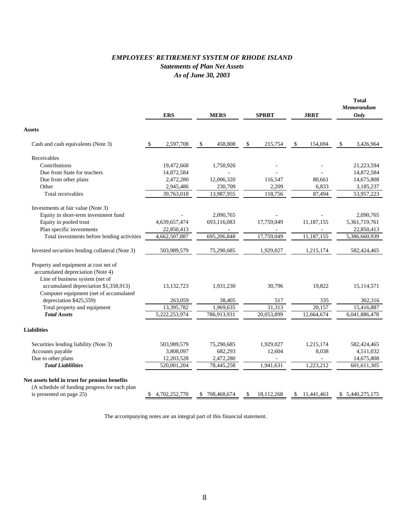### *EMPLOYEES' RETIREMENT SYSTEM OF RHODE ISLAND Statements of Plan Net Assets As of June 30, 2003*

|                                                 |    |               |               |               |              |                  | <b>Total</b><br><b>Memorandum</b> |
|-------------------------------------------------|----|---------------|---------------|---------------|--------------|------------------|-----------------------------------|
|                                                 |    | <b>ERS</b>    | <b>MERS</b>   |               | <b>SPRBT</b> | <b>JRBT</b>      | Only                              |
| <b>Assets</b>                                   |    |               |               |               |              |                  |                                   |
| Cash and cash equivalents (Note 3)              | S. | 2,597,708     | \$<br>458,808 | <sup>\$</sup> | 215,754      | \$<br>154,694    | \$<br>3,426,964                   |
| Receivables                                     |    |               |               |               |              |                  |                                   |
| Contributions                                   |    | 19,472,668    | 1,750,926     |               |              |                  | 21,223,594                        |
| Due from State for teachers                     |    | 14,872,584    |               |               |              |                  | 14,872,584                        |
| Due from other plans                            |    | 2,472,280     | 12,006,320    |               | 116,547      | 80,661           | 14,675,808                        |
| Other                                           |    | 2,945,486     | 230,709       |               | 2,209        | 6,833            | 3,185,237                         |
| Total receivables                               |    | 39,763,018    | 13,987,955    |               | 118,756      | 87,494           | 53,957,223                        |
| Investments at fair value (Note 3)              |    |               |               |               |              |                  |                                   |
| Equity in short-term investment fund            |    |               | 2,090,765     |               |              |                  | 2,090,765                         |
| Equity in pooled trust                          |    | 4,639,657,474 | 693,116,083   |               | 17,759,049   | 11,187,155       | 5,361,719,761                     |
| Plan specific investments                       |    | 22,850,413    |               |               |              |                  | 22,850,413                        |
| Total investments before lending activities     |    | 4,662,507,887 | 695,206,848   |               | 17,759,049   | 11,187,155       | 5,386,660,939                     |
| Invested securities lending collateral (Note 3) |    | 503,989,579   | 75,290,685    |               | 1,929,027    | 1,215,174        | 582,424,465                       |
| Property and equipment at cost net of           |    |               |               |               |              |                  |                                   |
| accumulated depreciation (Note 4)               |    |               |               |               |              |                  |                                   |
| Line of business system (net of                 |    |               |               |               |              |                  |                                   |
| accumulated depreciation \$1,358,913)           |    | 13, 132, 723  | 1,931,230     |               | 30,796       | 19,822           | 15,114,571                        |
| Computer equipment (net of accumulated          |    |               |               |               |              |                  |                                   |
| depreciation \$425,559)                         |    | 263,059       | 38,405        |               | 517          | 335              | 302,316                           |
| Total property and equipment                    |    | 13,395,782    | 1,969,635     |               | 31.313       | 20.157           | 15,416,887                        |
| <b>Total Assets</b>                             |    | 5,222,253,974 | 786,913,931   |               | 20,053,899   | 12,664,674       | 6,041,886,478                     |
| <b>Liabilities</b>                              |    |               |               |               |              |                  |                                   |
|                                                 |    |               |               |               |              |                  |                                   |
| Securities lending liability (Note 3)           |    | 503,989,579   | 75,290,685    |               | 1,929,027    | 1,215,174        | 582,424,465                       |
| Accounts payable                                |    | 3,808,097     | 682,293       |               | 12,604       | 8,038            | 4,511,032                         |
| Due to other plans                              |    | 12,203,528    | 2,472,280     |               |              |                  | 14,675,808                        |
| <b>Total Liablilities</b>                       |    | 520,001,204   | 78,445,258    |               | 1,941,631    | 1,223,212        | 601,611,305                       |
| Net assets held in trust for pension benefits   |    |               |               |               |              |                  |                                   |
| (A schedule of funding progress for each plan   |    |               |               |               |              |                  |                                   |
| is presented on page 25)                        |    | 4,702,252,770 | \$708,468,674 | S             | 18, 112, 268 | \$<br>11,441,463 | \$5,440,275,175                   |

The accompanying notes are an integral part of this financial statement.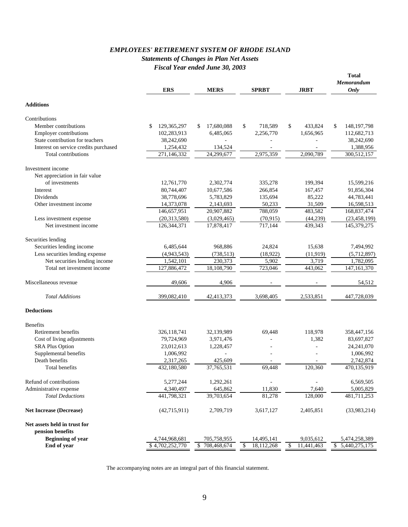#### *EMPLOYEES' RETIREMENT SYSTEM OF RHODE ISLAND Statements of Changes in Plan Net Assets Fiscal Year ended June 30, 2003*

|                                       | <b>ERS</b>        | <b>MERS</b>      | <b>SPRBT</b>               | <b>JRBT</b>      | <b>Total</b><br>Memorandum<br>Only |
|---------------------------------------|-------------------|------------------|----------------------------|------------------|------------------------------------|
| <b>Additions</b>                      |                   |                  |                            |                  |                                    |
| Contributions                         |                   |                  |                            |                  |                                    |
| Member contributions                  | \$<br>129,365,297 | 17,680,088<br>\$ | \$<br>718,589              | \$<br>433,824    | \$<br>148, 197, 798                |
| <b>Employer contributions</b>         | 102,283,913       | 6,485,065        | 2,256,770                  | 1,656,965        | 112,682,713                        |
| State contribution for teachers       | 38,242,690        |                  |                            |                  | 38,242,690                         |
| Interest on service credits purchased | 1,254,432         | 134,524          |                            |                  | 1,388,956                          |
| Total contributions                   | 271,146,332       | 24,299,677       | 2,975,359                  | 2,090,789        | 300,512,157                        |
| Investment income                     |                   |                  |                            |                  |                                    |
| Net appreciation in fair value        |                   |                  |                            |                  |                                    |
| of investments                        | 12,761,770        | 2,302,774        | 335,278                    | 199,394          | 15,599,216                         |
| Interest                              | 80,744,407        | 10,677,586       | 266,854                    | 167,457          | 91,856,304                         |
| Dividends                             | 38,778,696        | 5,783,829        | 135,694                    | 85,222           | 44,783,441                         |
| Other investment income               | 14,373,078        | 2,143,693        | 50,233                     | 31,509           | 16,598,513                         |
|                                       | 146,657,951       | 20,907,882       | 788,059                    | 483,582          | 168,837,474                        |
| Less investment expense               | (20, 313, 580)    | (3,029,465)      | (70, 915)                  | (44, 239)        | (23, 458, 199)                     |
| Net investment income                 | 126,344,371       | 17,878,417       | 717.144                    | 439.343          | 145,379,275                        |
| Securities lending                    |                   |                  |                            |                  |                                    |
| Securities lending income             | 6,485,644         | 968,886          | 24,824                     | 15,638           | 7,494,992                          |
| Less securities lending expense       | (4,943,543)       | (738, 513)       | (18,922)                   | (11, 919)        | (5,712,897)                        |
| Net securities lending income         | 1,542,101         | 230,373          | 5,902                      | 3,719            | 1,782,095                          |
| Total net investment income           | 127,886,472       | 18,108,790       | 723,046                    | 443,062          | 147, 161, 370                      |
| Miscellaneous revenue                 | 49,606            | 4,906            |                            |                  | 54,512                             |
| <b>Total Additions</b>                | 399,082,410       | 42,413,373       | 3,698,405                  | 2,533,851        | 447,728,039                        |
| <b>Deductions</b>                     |                   |                  |                            |                  |                                    |
| <b>Benefits</b>                       |                   |                  |                            |                  |                                    |
| Retirement benefits                   | 326,118,741       | 32,139,989       | 69.448                     | 118,978          | 358,447,156                        |
| Cost of living adjustments            | 79,724,969        | 3,971,476        |                            | 1,382            | 83,697,827                         |
| <b>SRA Plus Option</b>                | 23,012,613        | 1,228,457        |                            |                  | 24, 241, 070                       |
| Supplemental benefits                 | 1,006,992         |                  |                            |                  | 1,006,992                          |
| Death benefits                        | 2,317,265         | 425,609          |                            |                  | 2,742,874                          |
| Total benefits                        | 432,180,580       | 37,765,531       | 69,448                     | 120,360          | 470,135,919                        |
| Refund of contributions               | 5,277,244         | 1,292,261        |                            |                  | 6,569,505                          |
| Administrative expense                | 4,340,497         | 645,862          | 11,830                     | 7,640            | 5,005,829                          |
| <b>Total Deductions</b>               | 441,798,321       | 39,703,654       | 81,278                     | 128,000          | 481,711,253                        |
| <b>Net Increase (Decrease)</b>        | (42,715,911)      | 2,709,719        | 3,617,127                  | 2,405,851        | (33,983,214)                       |
| Net assets held in trust for          |                   |                  |                            |                  |                                    |
| pension benefits                      |                   |                  |                            |                  |                                    |
| <b>Beginning of year</b>              | 4,744,968,681     | 705,758,955      | 14,495,141                 | 9,035,612        | 5,474,258,389                      |
| End of year                           | \$4,702,252,770   | \$708,468,674    | $\mathbb{S}$<br>18,112,268 | \$<br>11,441,463 | \$ 5,440,275,175                   |

The accompanying notes are an integral part of this financial statement.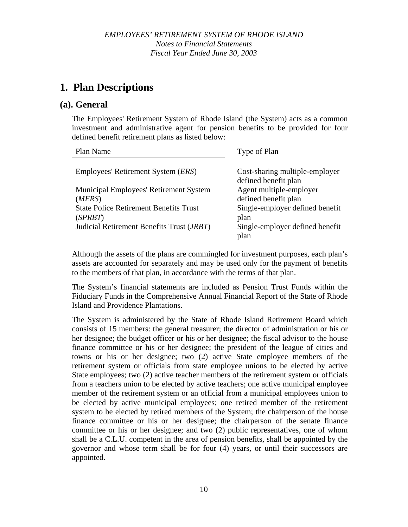### **1. Plan Descriptions**

### **(a). General**

The Employees' Retirement System of Rhode Island (the System) acts as a common investment and administrative agent for pension benefits to be provided for four defined benefit retirement plans as listed below:

| Plan Name                                     | Type of Plan                    |
|-----------------------------------------------|---------------------------------|
|                                               |                                 |
| Employees' Retirement System ( <i>ERS</i> )   | Cost-sharing multiple-employer  |
|                                               | defined benefit plan            |
| <b>Municipal Employees' Retirement System</b> | Agent multiple-employer         |
| (MERS)                                        | defined benefit plan            |
| <b>State Police Retirement Benefits Trust</b> | Single-employer defined benefit |
| (SPRBT)                                       | plan                            |
| Judicial Retirement Benefits Trust (JRBT)     | Single-employer defined benefit |
|                                               | plan                            |

Although the assets of the plans are commingled for investment purposes, each plan's assets are accounted for separately and may be used only for the payment of benefits to the members of that plan, in accordance with the terms of that plan.

The System's financial statements are included as Pension Trust Funds within the Fiduciary Funds in the Comprehensive Annual Financial Report of the State of Rhode Island and Providence Plantations.

The System is administered by the State of Rhode Island Retirement Board which consists of 15 members: the general treasurer; the director of administration or his or her designee; the budget officer or his or her designee; the fiscal advisor to the house finance committee or his or her designee; the president of the league of cities and towns or his or her designee; two (2) active State employee members of the retirement system or officials from state employee unions to be elected by active State employees; two (2) active teacher members of the retirement system or officials from a teachers union to be elected by active teachers; one active municipal employee member of the retirement system or an official from a municipal employees union to be elected by active municipal employees; one retired member of the retirement system to be elected by retired members of the System; the chairperson of the house finance committee or his or her designee; the chairperson of the senate finance committee or his or her designee; and two (2) public representatives, one of whom shall be a C.L.U. competent in the area of pension benefits, shall be appointed by the governor and whose term shall be for four (4) years, or until their successors are appointed.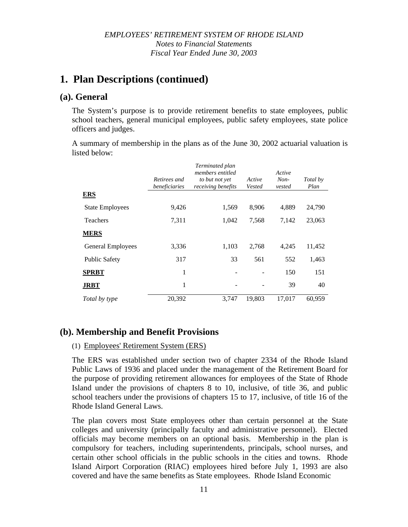### **1. Plan Descriptions (continued)**

### **(a). General**

The System's purpose is to provide retirement benefits to state employees, public school teachers, general municipal employees, public safety employees, state police officers and judges.

A summary of membership in the plans as of the June 30, 2002 actuarial valuation is listed below:

|                        | Retirees and<br>beneficiaries | Terminated plan<br>members entitled<br>to but not yet<br>receiving benefits | Active<br>Vested | Active<br>$Non-$<br>vested | Total by<br>Plan |
|------------------------|-------------------------------|-----------------------------------------------------------------------------|------------------|----------------------------|------------------|
| <b>ERS</b>             |                               |                                                                             |                  |                            |                  |
| <b>State Employees</b> | 9,426                         | 1,569                                                                       | 8,906            | 4,889                      | 24,790           |
| <b>Teachers</b>        | 7,311                         | 1,042                                                                       | 7,568            | 7,142                      | 23,063           |
| <b>MERS</b>            |                               |                                                                             |                  |                            |                  |
| General Employees      | 3,336                         | 1,103                                                                       | 2,768            | 4,245                      | 11,452           |
| <b>Public Safety</b>   | 317                           | 33                                                                          | 561              | 552                        | 1,463            |
| <b>SPRBT</b>           | 1                             |                                                                             |                  | 150                        | 151              |
| <b>JRBT</b>            | 1                             |                                                                             |                  | 39                         | 40               |
| Total by type          | 20,392                        | 3.747                                                                       | 19,803           | 17,017                     | 60.959           |

### **(b). Membership and Benefit Provisions**

#### (1) Employees' Retirement System (ERS)

The ERS was established under section two of chapter 2334 of the Rhode Island Public Laws of 1936 and placed under the management of the Retirement Board for the purpose of providing retirement allowances for employees of the State of Rhode Island under the provisions of chapters 8 to 10, inclusive, of title 36, and public school teachers under the provisions of chapters 15 to 17, inclusive, of title 16 of the Rhode Island General Laws.

The plan covers most State employees other than certain personnel at the State colleges and university (principally faculty and administrative personnel). Elected officials may become members on an optional basis. Membership in the plan is compulsory for teachers, including superintendents, principals, school nurses, and certain other school officials in the public schools in the cities and towns. Rhode Island Airport Corporation (RIAC) employees hired before July 1, 1993 are also covered and have the same benefits as State employees. Rhode Island Economic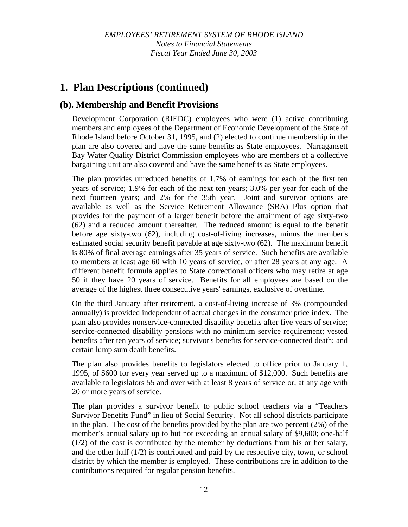# **1. Plan Descriptions (continued)**

### **(b). Membership and Benefit Provisions**

Development Corporation (RIEDC) employees who were (1) active contributing members and employees of the Department of Economic Development of the State of Rhode Island before October 31, 1995, and (2) elected to continue membership in the plan are also covered and have the same benefits as State employees. Narragansett Bay Water Quality District Commission employees who are members of a collective bargaining unit are also covered and have the same benefits as State employees.

The plan provides unreduced benefits of 1.7% of earnings for each of the first ten years of service; 1.9% for each of the next ten years; 3.0% per year for each of the next fourteen years; and 2% for the 35th year. Joint and survivor options are available as well as the Service Retirement Allowance (SRA) Plus option that provides for the payment of a larger benefit before the attainment of age sixty-two (62) and a reduced amount thereafter. The reduced amount is equal to the benefit before age sixty-two (62), including cost-of-living increases, minus the member's estimated social security benefit payable at age sixty-two (62). The maximum benefit is 80% of final average earnings after 35 years of service. Such benefits are available to members at least age 60 with 10 years of service, or after 28 years at any age. A different benefit formula applies to State correctional officers who may retire at age 50 if they have 20 years of service. Benefits for all employees are based on the average of the highest three consecutive years' earnings, exclusive of overtime.

On the third January after retirement, a cost-of-living increase of 3% (compounded annually) is provided independent of actual changes in the consumer price index. The plan also provides nonservice-connected disability benefits after five years of service; service-connected disability pensions with no minimum service requirement; vested benefits after ten years of service; survivor's benefits for service-connected death; and certain lump sum death benefits.

The plan also provides benefits to legislators elected to office prior to January 1, 1995, of \$600 for every year served up to a maximum of \$12,000. Such benefits are available to legislators 55 and over with at least 8 years of service or, at any age with 20 or more years of service.

The plan provides a survivor benefit to public school teachers via a "Teachers Survivor Benefits Fund" in lieu of Social Security. Not all school districts participate in the plan. The cost of the benefits provided by the plan are two percent (2%) of the member's annual salary up to but not exceeding an annual salary of \$9,600; one-half (1/2) of the cost is contributed by the member by deductions from his or her salary, and the other half (1/2) is contributed and paid by the respective city, town, or school district by which the member is employed. These contributions are in addition to the contributions required for regular pension benefits.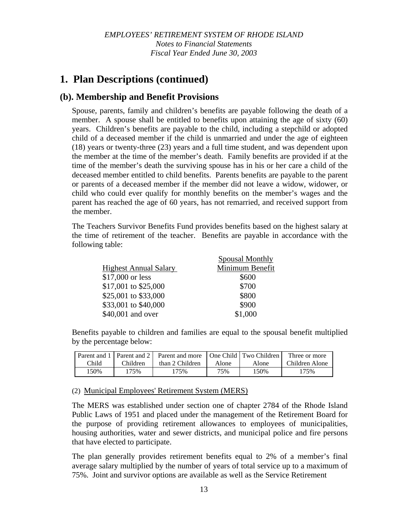# **1. Plan Descriptions (continued)**

### **(b). Membership and Benefit Provisions**

Spouse, parents, family and children's benefits are payable following the death of a member. A spouse shall be entitled to benefits upon attaining the age of sixty (60) years. Children's benefits are payable to the child, including a stepchild or adopted child of a deceased member if the child is unmarried and under the age of eighteen (18) years or twenty-three (23) years and a full time student, and was dependent upon the member at the time of the member's death. Family benefits are provided if at the time of the member's death the surviving spouse has in his or her care a child of the deceased member entitled to child benefits. Parents benefits are payable to the parent or parents of a deceased member if the member did not leave a widow, widower, or child who could ever qualify for monthly benefits on the member's wages and the parent has reached the age of 60 years, has not remarried, and received support from the member.

The Teachers Survivor Benefits Fund provides benefits based on the highest salary at the time of retirement of the teacher. Benefits are payable in accordance with the following table:

|                              | <b>Spousal Monthly</b> |
|------------------------------|------------------------|
| <b>Highest Annual Salary</b> | Minimum Benefit        |
| \$17,000 or less             | \$600                  |
| \$17,001 to \$25,000         | \$700                  |
| \$25,001 to \$33,000         | \$800                  |
| \$33,001 to \$40,000         | \$900                  |
| \$40,001 and over            | \$1,000                |

Benefits payable to children and families are equal to the spousal benefit multiplied by the percentage below:

|       |          | Parent and 1   Parent and 2   Parent and more   One Child   Two Children |       |       | Three or more  |
|-------|----------|--------------------------------------------------------------------------|-------|-------|----------------|
| Child | Children | than 2 Children                                                          | Alone | Alone | Children Alone |
| 50%،  | $175\%$  | 175%                                                                     | 75%   | 150%  | 175%           |

#### (2) Municipal Employees' Retirement System (MERS)

The MERS was established under section one of chapter 2784 of the Rhode Island Public Laws of 1951 and placed under the management of the Retirement Board for the purpose of providing retirement allowances to employees of municipalities, housing authorities, water and sewer districts, and municipal police and fire persons that have elected to participate.

The plan generally provides retirement benefits equal to 2% of a member's final average salary multiplied by the number of years of total service up to a maximum of 75%. Joint and survivor options are available as well as the Service Retirement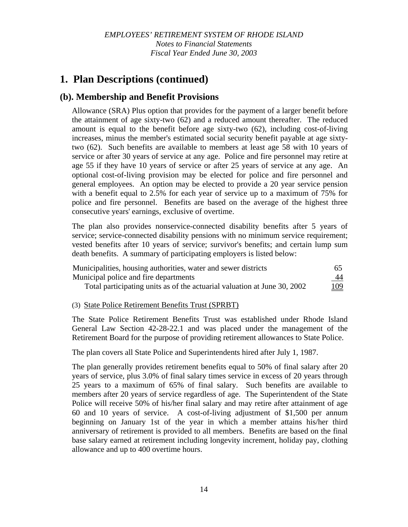# **1. Plan Descriptions (continued)**

### **(b). Membership and Benefit Provisions**

Allowance (SRA) Plus option that provides for the payment of a larger benefit before the attainment of age sixty-two (62) and a reduced amount thereafter. The reduced amount is equal to the benefit before age sixty-two (62), including cost-of-living increases, minus the member's estimated social security benefit payable at age sixtytwo (62). Such benefits are available to members at least age 58 with 10 years of service or after 30 years of service at any age. Police and fire personnel may retire at age 55 if they have 10 years of service or after 25 years of service at any age. An optional cost-of-living provision may be elected for police and fire personnel and general employees. An option may be elected to provide a 20 year service pension with a benefit equal to 2.5% for each year of service up to a maximum of 75% for police and fire personnel. Benefits are based on the average of the highest three consecutive years' earnings, exclusive of overtime.

The plan also provides nonservice-connected disability benefits after 5 years of service; service-connected disability pensions with no minimum service requirement; vested benefits after 10 years of service; survivor's benefits; and certain lump sum death benefits. A summary of participating employers is listed below:

| Municipalities, housing authorities, water and sewer districts           | -65 |
|--------------------------------------------------------------------------|-----|
| Municipal police and fire departments                                    | 44  |
| Total participating units as of the actuarial valuation at June 30, 2002 | 109 |

#### (3) State Police Retirement Benefits Trust (SPRBT)

The State Police Retirement Benefits Trust was established under Rhode Island General Law Section 42-28-22.1 and was placed under the management of the Retirement Board for the purpose of providing retirement allowances to State Police.

The plan covers all State Police and Superintendents hired after July 1, 1987.

The plan generally provides retirement benefits equal to 50% of final salary after 20 years of service, plus 3.0% of final salary times service in excess of 20 years through 25 years to a maximum of 65% of final salary. Such benefits are available to members after 20 years of service regardless of age. The Superintendent of the State Police will receive 50% of his/her final salary and may retire after attainment of age 60 and 10 years of service. A cost-of-living adjustment of \$1,500 per annum beginning on January 1st of the year in which a member attains his/her third anniversary of retirement is provided to all members. Benefits are based on the final base salary earned at retirement including longevity increment, holiday pay, clothing allowance and up to 400 overtime hours.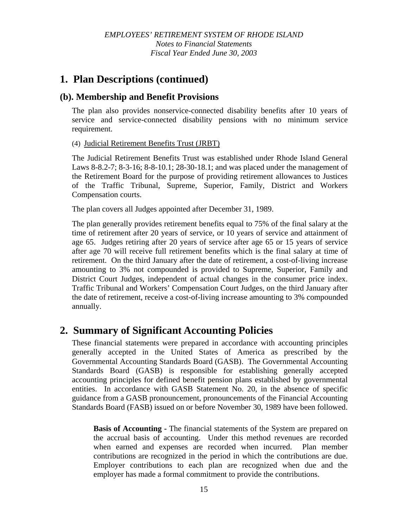# **1. Plan Descriptions (continued)**

### **(b). Membership and Benefit Provisions**

The plan also provides nonservice-connected disability benefits after 10 years of service and service-connected disability pensions with no minimum service requirement.

(4) Judicial Retirement Benefits Trust (JRBT)

The Judicial Retirement Benefits Trust was established under Rhode Island General Laws 8-8.2-7; 8-3-16; 8-8-10.1; 28-30-18.1; and was placed under the management of the Retirement Board for the purpose of providing retirement allowances to Justices of the Traffic Tribunal, Supreme, Superior, Family, District and Workers Compensation courts.

The plan covers all Judges appointed after December 31, 1989.

The plan generally provides retirement benefits equal to 75% of the final salary at the time of retirement after 20 years of service, or 10 years of service and attainment of age 65. Judges retiring after 20 years of service after age 65 or 15 years of service after age 70 will receive full retirement benefits which is the final salary at time of retirement. On the third January after the date of retirement, a cost-of-living increase amounting to 3% not compounded is provided to Supreme, Superior, Family and District Court Judges, independent of actual changes in the consumer price index. Traffic Tribunal and Workers' Compensation Court Judges, on the third January after the date of retirement, receive a cost-of-living increase amounting to 3% compounded annually.

# **2. Summary of Significant Accounting Policies**

These financial statements were prepared in accordance with accounting principles generally accepted in the United States of America as prescribed by the Governmental Accounting Standards Board (GASB). The Governmental Accounting Standards Board (GASB) is responsible for establishing generally accepted accounting principles for defined benefit pension plans established by governmental entities. In accordance with GASB Statement No. 20, in the absence of specific guidance from a GASB pronouncement, pronouncements of the Financial Accounting Standards Board (FASB) issued on or before November 30, 1989 have been followed.

**Basis of Accounting -** The financial statements of the System are prepared on the accrual basis of accounting. Under this method revenues are recorded when earned and expenses are recorded when incurred. Plan member contributions are recognized in the period in which the contributions are due. Employer contributions to each plan are recognized when due and the employer has made a formal commitment to provide the contributions.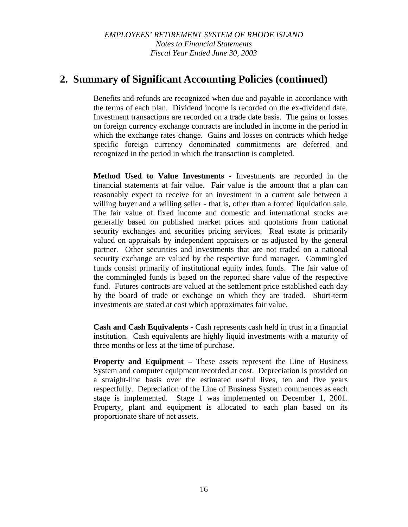### **2. Summary of Significant Accounting Policies (continued)**

Benefits and refunds are recognized when due and payable in accordance with the terms of each plan. Dividend income is recorded on the ex-dividend date. Investment transactions are recorded on a trade date basis. The gains or losses on foreign currency exchange contracts are included in income in the period in which the exchange rates change. Gains and losses on contracts which hedge specific foreign currency denominated commitments are deferred and recognized in the period in which the transaction is completed.

**Method Used to Value Investments -** Investments are recorded in the financial statements at fair value. Fair value is the amount that a plan can reasonably expect to receive for an investment in a current sale between a willing buyer and a willing seller - that is, other than a forced liquidation sale. The fair value of fixed income and domestic and international stocks are generally based on published market prices and quotations from national security exchanges and securities pricing services. Real estate is primarily valued on appraisals by independent appraisers or as adjusted by the general partner. Other securities and investments that are not traded on a national security exchange are valued by the respective fund manager. Commingled funds consist primarily of institutional equity index funds. The fair value of the commingled funds is based on the reported share value of the respective fund. Futures contracts are valued at the settlement price established each day by the board of trade or exchange on which they are traded. Short-term investments are stated at cost which approximates fair value.

**Cash and Cash Equivalents -** Cash represents cash held in trust in a financial institution. Cash equivalents are highly liquid investments with a maturity of three months or less at the time of purchase.

**Property and Equipment –** These assets represent the Line of Business System and computer equipment recorded at cost. Depreciation is provided on a straight-line basis over the estimated useful lives, ten and five years respectfully. Depreciation of the Line of Business System commences as each stage is implemented. Stage 1 was implemented on December 1, 2001. Property, plant and equipment is allocated to each plan based on its proportionate share of net assets.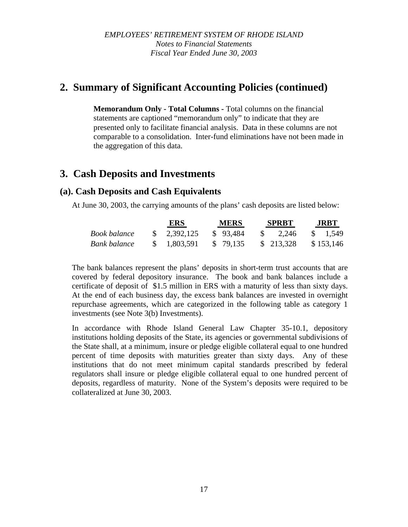# **2. Summary of Significant Accounting Policies (continued)**

**Memorandum Only - Total Columns -** Total columns on the financial statements are captioned "memorandum only" to indicate that they are presented only to facilitate financial analysis. Data in these columns are not comparable to a consolidation. Inter-fund eliminations have not been made in the aggregation of this data.

### **3. Cash Deposits and Investments**

### **(a). Cash Deposits and Cash Equivalents**

At June 30, 2003, the carrying amounts of the plans' cash deposits are listed below:

|                     | ERS                       | <b>MERS</b> |               | <b>SPRBT</b> | <b>JRBT</b> |
|---------------------|---------------------------|-------------|---------------|--------------|-------------|
| <b>Book balance</b> | $\frac{1}{2}$ , 2,392,125 | \$93,484    | $\mathcal{L}$ | 2.246        | \$ 1.549    |
| Bank balance        | \$ 1,803,591              | \$ 79.135   |               | \$ 213,328   | \$153,146   |

The bank balances represent the plans' deposits in short-term trust accounts that are covered by federal depository insurance. The book and bank balances include a certificate of deposit of \$1.5 million in ERS with a maturity of less than sixty days. At the end of each business day, the excess bank balances are invested in overnight repurchase agreements, which are categorized in the following table as category 1 investments (see Note 3(b) Investments).

In accordance with Rhode Island General Law Chapter 35-10.1, depository institutions holding deposits of the State, its agencies or governmental subdivisions of the State shall, at a minimum, insure or pledge eligible collateral equal to one hundred percent of time deposits with maturities greater than sixty days. Any of these institutions that do not meet minimum capital standards prescribed by federal regulators shall insure or pledge eligible collateral equal to one hundred percent of deposits, regardless of maturity. None of the System's deposits were required to be collateralized at June 30, 2003.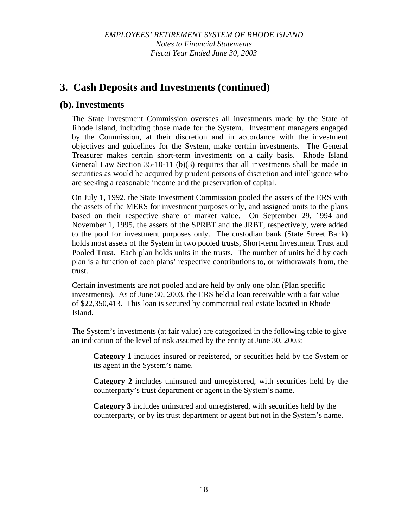# **3. Cash Deposits and Investments (continued)**

### **(b). Investments**

The State Investment Commission oversees all investments made by the State of Rhode Island, including those made for the System. Investment managers engaged by the Commission, at their discretion and in accordance with the investment objectives and guidelines for the System, make certain investments. The General Treasurer makes certain short-term investments on a daily basis. Rhode Island General Law Section 35-10-11 (b)(3) requires that all investments shall be made in securities as would be acquired by prudent persons of discretion and intelligence who are seeking a reasonable income and the preservation of capital.

On July 1, 1992, the State Investment Commission pooled the assets of the ERS with the assets of the MERS for investment purposes only, and assigned units to the plans based on their respective share of market value. On September 29, 1994 and November 1, 1995, the assets of the SPRBT and the JRBT, respectively, were added to the pool for investment purposes only. The custodian bank (State Street Bank) holds most assets of the System in two pooled trusts, Short-term Investment Trust and Pooled Trust. Each plan holds units in the trusts. The number of units held by each plan is a function of each plans' respective contributions to, or withdrawals from, the trust.

Certain investments are not pooled and are held by only one plan (Plan specific investments). As of June 30, 2003, the ERS held a loan receivable with a fair value of \$22,350,413. This loan is secured by commercial real estate located in Rhode Island.

The System's investments (at fair value) are categorized in the following table to give an indication of the level of risk assumed by the entity at June 30, 2003:

**Category 1** includes insured or registered, or securities held by the System or its agent in the System's name.

**Category 2** includes uninsured and unregistered, with securities held by the counterparty's trust department or agent in the System's name.

**Category 3** includes uninsured and unregistered, with securities held by the counterparty, or by its trust department or agent but not in the System's name.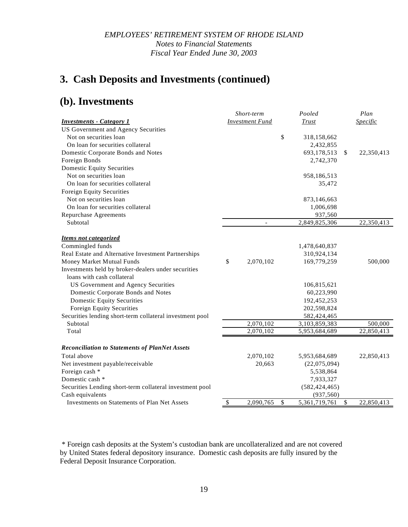# **3. Cash Deposits and Investments (continued)**

# **(b). Investments**

|                                                          | Short-term                |                          |    | Pooled          |              | Plan                          |  |
|----------------------------------------------------------|---------------------------|--------------------------|----|-----------------|--------------|-------------------------------|--|
| <b>Investments - Category 1</b>                          | <b>Investment Fund</b>    |                          |    | Trust           |              | <i><u><b>Specific</b></u></i> |  |
| US Government and Agency Securities                      |                           |                          |    |                 |              |                               |  |
| Not on securities loan                                   |                           |                          | \$ | 318,158,662     |              |                               |  |
| On loan for securities collateral                        |                           |                          |    | 2,432,855       |              |                               |  |
| Domestic Corporate Bonds and Notes                       |                           |                          |    | 693,178,513     | $\mathbb{S}$ | 22,350,413                    |  |
| Foreign Bonds                                            |                           |                          |    | 2,742,370       |              |                               |  |
| <b>Domestic Equity Securities</b>                        |                           |                          |    |                 |              |                               |  |
| Not on securities loan                                   |                           |                          |    | 958,186,513     |              |                               |  |
| On loan for securities collateral                        |                           |                          |    | 35,472          |              |                               |  |
| Foreign Equity Securities                                |                           |                          |    |                 |              |                               |  |
| Not on securities loan                                   |                           |                          |    | 873,146,663     |              |                               |  |
| On loan for securities collateral                        |                           |                          |    | 1,006,698       |              |                               |  |
| <b>Repurchase Agreements</b>                             |                           |                          |    | 937,560         |              |                               |  |
| Subtotal                                                 |                           | $\overline{\phantom{a}}$ |    | 2,849,825,306   |              | 22,350,413                    |  |
|                                                          |                           |                          |    |                 |              |                               |  |
| <b>Items not categorized</b>                             |                           |                          |    |                 |              |                               |  |
| Commingled funds                                         |                           |                          |    | 1,478,640,837   |              |                               |  |
| Real Estate and Alternative Investment Partnerships      |                           |                          |    | 310,924,134     |              |                               |  |
| Money Market Mutual Funds                                | \$                        | 2,070,102                |    | 169,779,259     |              | 500,000                       |  |
| Investments held by broker-dealers under securities      |                           |                          |    |                 |              |                               |  |
| loans with cash collateral                               |                           |                          |    |                 |              |                               |  |
| US Government and Agency Securities                      |                           |                          |    | 106,815,621     |              |                               |  |
| Domestic Corporate Bonds and Notes                       |                           |                          |    | 60,223,990      |              |                               |  |
| <b>Domestic Equity Securities</b>                        |                           |                          |    | 192,452,253     |              |                               |  |
| Foreign Equity Securities                                |                           |                          |    | 202,598,824     |              |                               |  |
| Securities lending short-term collateral investment pool |                           |                          |    | 582,424,465     |              |                               |  |
| Subtotal                                                 |                           | 2,070,102                |    | 3,103,859,383   |              | 500,000                       |  |
| Total                                                    |                           | 2,070,102                |    | 5,953,684,689   |              | 22,850,413                    |  |
|                                                          |                           |                          |    |                 |              |                               |  |
| <b>Reconciliation to Statements of PlanNet Assets</b>    |                           |                          |    |                 |              |                               |  |
| Total above                                              |                           | 2,070,102                |    | 5,953,684,689   |              | 22,850,413                    |  |
| Net investment payable/receivable                        |                           | 20,663                   |    | (22,075,094)    |              |                               |  |
| Foreign cash *                                           |                           |                          |    | 5,538,864       |              |                               |  |
| Domestic cash *                                          |                           |                          |    | 7,933,327       |              |                               |  |
| Securities Lending short-term collateral investment pool |                           |                          |    | (582, 424, 465) |              |                               |  |
| Cash equivalents                                         |                           |                          |    | (937, 560)      |              |                               |  |
| Investments on Statements of Plan Net Assets             | $\boldsymbol{\mathsf{S}}$ | 2,090,765                | \$ | 5,361,719,761   | \$           | 22,850,413                    |  |

 \* Foreign cash deposits at the System's custodian bank are uncollateralized and are not covered by United States federal depository insurance. Domestic cash deposits are fully insured by the Federal Deposit Insurance Corporation.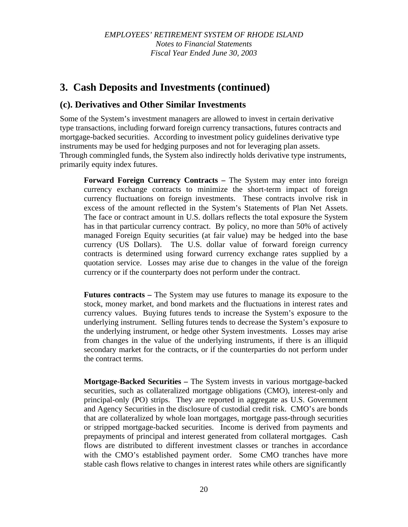# **3. Cash Deposits and Investments (continued)**

### **(c). Derivatives and Other Similar Investments**

Some of the System's investment managers are allowed to invest in certain derivative type transactions, including forward foreign currency transactions, futures contracts and mortgage-backed securities. According to investment policy guidelines derivative type instruments may be used for hedging purposes and not for leveraging plan assets. Through commingled funds, the System also indirectly holds derivative type instruments, primarily equity index futures.

**Forward Foreign Currency Contracts –** The System may enter into foreign currency exchange contracts to minimize the short-term impact of foreign currency fluctuations on foreign investments. These contracts involve risk in excess of the amount reflected in the System's Statements of Plan Net Assets. The face or contract amount in U.S. dollars reflects the total exposure the System has in that particular currency contract. By policy, no more than 50% of actively managed Foreign Equity securities (at fair value) may be hedged into the base currency (US Dollars). The U.S. dollar value of forward foreign currency contracts is determined using forward currency exchange rates supplied by a quotation service. Losses may arise due to changes in the value of the foreign currency or if the counterparty does not perform under the contract.

**Futures contracts –** The System may use futures to manage its exposure to the stock, money market, and bond markets and the fluctuations in interest rates and currency values. Buying futures tends to increase the System's exposure to the underlying instrument. Selling futures tends to decrease the System's exposure to the underlying instrument, or hedge other System investments. Losses may arise from changes in the value of the underlying instruments, if there is an illiquid secondary market for the contracts, or if the counterparties do not perform under the contract terms.

**Mortgage-Backed Securities –** The System invests in various mortgage-backed securities, such as collateralized mortgage obligations (CMO), interest-only and principal-only (PO) strips. They are reported in aggregate as U.S. Government and Agency Securities in the disclosure of custodial credit risk. CMO's are bonds that are collateralized by whole loan mortgages, mortgage pass-through securities or stripped mortgage-backed securities. Income is derived from payments and prepayments of principal and interest generated from collateral mortgages. Cash flows are distributed to different investment classes or tranches in accordance with the CMO's established payment order. Some CMO tranches have more stable cash flows relative to changes in interest rates while others are significantly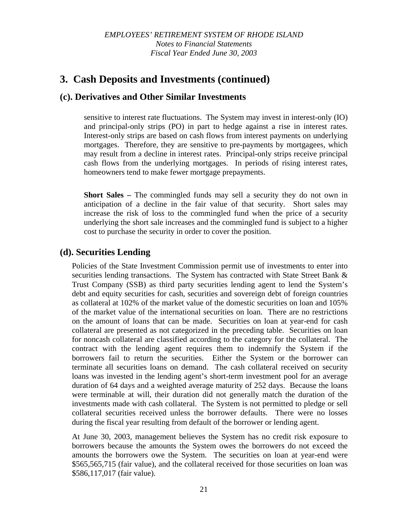### **3. Cash Deposits and Investments (continued)**

### **(c). Derivatives and Other Similar Investments**

sensitive to interest rate fluctuations. The System may invest in interest-only (IO) and principal-only strips (PO) in part to hedge against a rise in interest rates. Interest-only strips are based on cash flows from interest payments on underlying mortgages. Therefore, they are sensitive to pre-payments by mortgagees, which may result from a decline in interest rates. Principal-only strips receive principal cash flows from the underlying mortgages. In periods of rising interest rates, homeowners tend to make fewer mortgage prepayments.

**Short Sales –** The commingled funds may sell a security they do not own in anticipation of a decline in the fair value of that security. Short sales may increase the risk of loss to the commingled fund when the price of a security underlying the short sale increases and the commingled fund is subject to a higher cost to purchase the security in order to cover the position.

### **(d). Securities Lending**

Policies of the State Investment Commission permit use of investments to enter into securities lending transactions. The System has contracted with State Street Bank & Trust Company (SSB) as third party securities lending agent to lend the System's debt and equity securities for cash, securities and sovereign debt of foreign countries as collateral at 102% of the market value of the domestic securities on loan and 105% of the market value of the international securities on loan. There are no restrictions on the amount of loans that can be made. Securities on loan at year-end for cash collateral are presented as not categorized in the preceding table. Securities on loan for noncash collateral are classified according to the category for the collateral. The contract with the lending agent requires them to indemnify the System if the borrowers fail to return the securities. Either the System or the borrower can terminate all securities loans on demand. The cash collateral received on security loans was invested in the lending agent's short-term investment pool for an average duration of 64 days and a weighted average maturity of 252 days. Because the loans were terminable at will, their duration did not generally match the duration of the investments made with cash collateral. The System is not permitted to pledge or sell collateral securities received unless the borrower defaults. There were no losses during the fiscal year resulting from default of the borrower or lending agent.

At June 30, 2003, management believes the System has no credit risk exposure to borrowers because the amounts the System owes the borrowers do not exceed the amounts the borrowers owe the System. The securities on loan at year-end were \$565,565,715 (fair value), and the collateral received for those securities on loan was \$586,117,017 (fair value).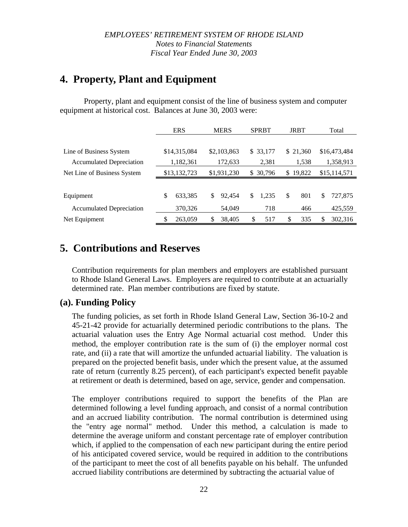# **4. Property, Plant and Equipment**

Property, plant and equipment consist of the line of business system and computer equipment at historical cost. Balances at June 30, 2003 were:

|                                 | <b>ERS</b>    | <b>MERS</b>  | <b>SPRBT</b>          | <b>JRBT</b>  | Total        |
|---------------------------------|---------------|--------------|-----------------------|--------------|--------------|
|                                 |               |              |                       |              |              |
| Line of Business System         | \$14,315,084  | \$2,103,863  | \$33,177              | \$21,360     | \$16,473,484 |
| <b>Accumulated Depreciation</b> | 1,182,361     | 172,633      | 2,381                 | 1,538        | 1,358,913    |
| Net Line of Business System     | \$13,132,723  | \$1,931,230  | 30,796<br>\$          | 19,822<br>\$ | \$15,114,571 |
|                                 |               |              |                       |              |              |
| Equipment                       | \$<br>633,385 | \$<br>92.454 | $\mathbb{S}$<br>1,235 | 801<br>\$    | S<br>727,875 |
| <b>Accumulated Depreciation</b> | 370,326       | 54,049       | 718                   | 466          | 425,559      |
| Net Equipment                   | \$<br>263,059 | \$<br>38.405 | \$<br>517             | \$<br>335    | 302,316<br>S |

# **5. Contributions and Reserves**

Contribution requirements for plan members and employers are established pursuant to Rhode Island General Laws. Employers are required to contribute at an actuarially determined rate. Plan member contributions are fixed by statute.

### **(a). Funding Policy**

The funding policies, as set forth in Rhode Island General Law, Section 36-10-2 and 45-21-42 provide for actuarially determined periodic contributions to the plans. The actuarial valuation uses the Entry Age Normal actuarial cost method. Under this method, the employer contribution rate is the sum of (i) the employer normal cost rate, and (ii) a rate that will amortize the unfunded actuarial liability. The valuation is prepared on the projected benefit basis, under which the present value, at the assumed rate of return (currently 8.25 percent), of each participant's expected benefit payable at retirement or death is determined, based on age, service, gender and compensation.

The employer contributions required to support the benefits of the Plan are determined following a level funding approach, and consist of a normal contribution and an accrued liability contribution. The normal contribution is determined using the "entry age normal" method. Under this method, a calculation is made to determine the average uniform and constant percentage rate of employer contribution which, if applied to the compensation of each new participant during the entire period of his anticipated covered service, would be required in addition to the contributions of the participant to meet the cost of all benefits payable on his behalf. The unfunded accrued liability contributions are determined by subtracting the actuarial value of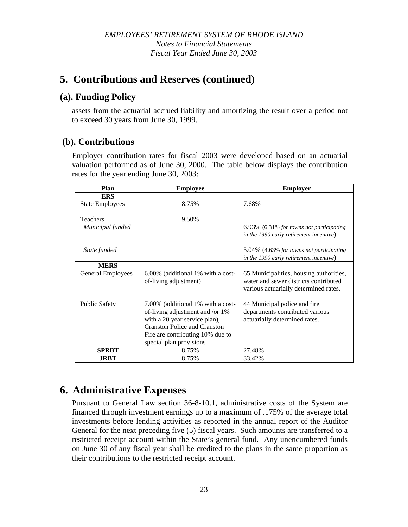# **5. Contributions and Reserves (continued)**

### **(a). Funding Policy**

assets from the actuarial accrued liability and amortizing the result over a period not to exceed 30 years from June 30, 1999.

### **(b). Contributions**

Employer contribution rates for fiscal 2003 were developed based on an actuarial valuation performed as of June 30, 2000. The table below displays the contribution rates for the year ending June 30, 2003:

| <b>Plan</b>              | <b>Employee</b>                     | <b>Employer</b>                             |
|--------------------------|-------------------------------------|---------------------------------------------|
| <b>ERS</b>               |                                     |                                             |
| <b>State Employees</b>   | 8.75%                               | 7.68%                                       |
|                          |                                     |                                             |
| <b>Teachers</b>          | 9.50%                               |                                             |
| Municipal funded         |                                     | $6.93\%$ (6.31% for towns not participating |
|                          |                                     | in the 1990 early retirement incentive)     |
|                          |                                     |                                             |
| State funded             |                                     | 5.04% (4.63% for towns not participating    |
|                          |                                     | in the 1990 early retirement incentive)     |
| <b>MERS</b>              |                                     |                                             |
| <b>General Employees</b> | 6.00% (additional 1% with a cost-   | 65 Municipalities, housing authorities,     |
|                          | of-living adjustment)               | water and sewer districts contributed       |
|                          |                                     | various actuarially determined rates.       |
|                          |                                     |                                             |
| <b>Public Safety</b>     | 7.00% (additional 1% with a cost-   | 44 Municipal police and fire                |
|                          | of-living adjustment and /or 1%     | departments contributed various             |
|                          | with a 20 year service plan),       | actuarially determined rates.               |
|                          | <b>Cranston Police and Cranston</b> |                                             |
|                          | Fire are contributing 10% due to    |                                             |
|                          | special plan provisions             |                                             |
| <b>SPRBT</b>             | 8.75%                               | 27.48%                                      |
| <b>JRBT</b>              | 8.75%                               | 33.42%                                      |

# **6. Administrative Expenses**

Pursuant to General Law section 36-8-10.1, administrative costs of the System are financed through investment earnings up to a maximum of .175% of the average total investments before lending activities as reported in the annual report of the Auditor General for the next preceding five (5) fiscal years. Such amounts are transferred to a restricted receipt account within the State's general fund. Any unencumbered funds on June 30 of any fiscal year shall be credited to the plans in the same proportion as their contributions to the restricted receipt account.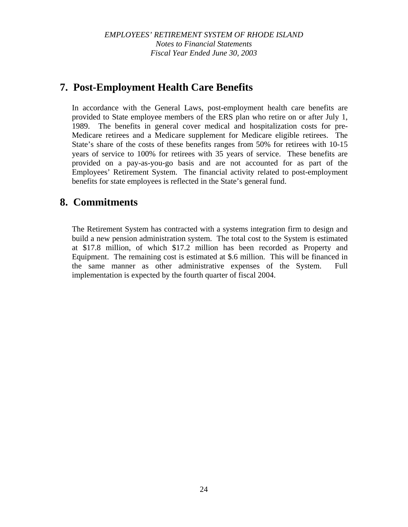# **7. Post-Employment Health Care Benefits**

In accordance with the General Laws, post-employment health care benefits are provided to State employee members of the ERS plan who retire on or after July 1, 1989. The benefits in general cover medical and hospitalization costs for pre-Medicare retirees and a Medicare supplement for Medicare eligible retirees. The State's share of the costs of these benefits ranges from 50% for retirees with 10-15 years of service to 100% for retirees with 35 years of service. These benefits are provided on a pay-as-you-go basis and are not accounted for as part of the Employees' Retirement System. The financial activity related to post-employment benefits for state employees is reflected in the State's general fund.

# **8. Commitments**

The Retirement System has contracted with a systems integration firm to design and build a new pension administration system. The total cost to the System is estimated at \$17.8 million, of which \$17.2 million has been recorded as Property and Equipment. The remaining cost is estimated at \$.6 million. This will be financed in the same manner as other administrative expenses of the System. Full implementation is expected by the fourth quarter of fiscal 2004.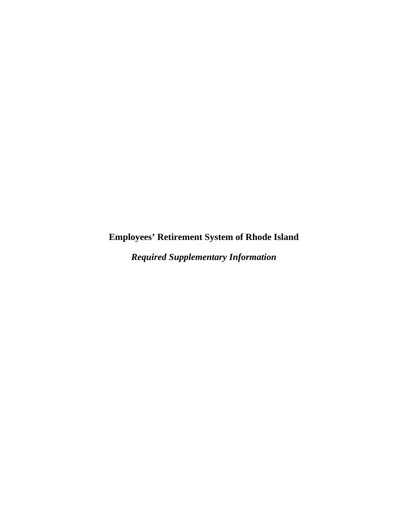**Employees' Retirement System of Rhode Island** 

*Required Supplementary Information*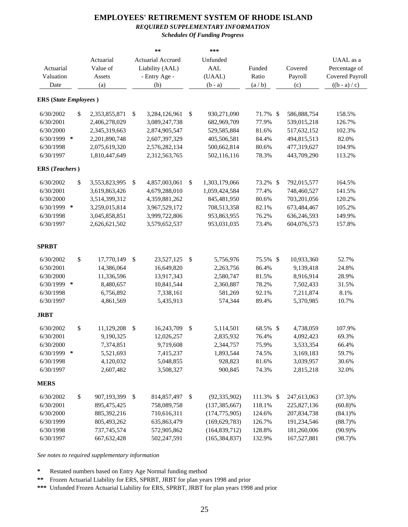### *REQUIRED SUPPLEMENTARY INFORMATION*

*Schedules Of Funding Progress*

|                              |      | Actuarial     |                           | $\star \star$<br>Actuarial Accrued | ***<br>Unfunded      |           |             | UAAL as a              |
|------------------------------|------|---------------|---------------------------|------------------------------------|----------------------|-----------|-------------|------------------------|
| Actuarial                    |      | Value of      |                           | Liability (AAL)                    | <b>AAL</b>           | Funded    | Covered     | Percentage of          |
| Valuation                    |      | Assets        |                           | - Entry Age -                      | (UAAL)               | Ratio     | Payroll     | <b>Covered Payroll</b> |
| Date                         |      | (a)           |                           | (b)                                | $(b - a)$            | (a/b)     | (c)         | $((b - a) / c)$        |
|                              |      |               |                           |                                    |                      |           |             |                        |
| <b>ERS</b> (State Employees) |      |               |                           |                                    |                      |           |             |                        |
| 6/30/2002                    | \$   | 2,353,855,871 | \$                        | 3,284,126,961                      | \$<br>930,271,090    | 71.7% \$  | 586,888,754 | 158.5%                 |
| 6/30/2001                    |      | 2,406,278,029 |                           | 3,089,247,738                      | 682,969,709          | 77.9%     | 539,015,218 | 126.7%                 |
| 6/30/2000                    |      | 2,345,319,663 |                           | 2,874,905,547                      | 529,585,884          | 81.6%     | 517,632,152 | 102.3%                 |
| 6/30/1999 *                  |      | 2,201,890,748 |                           | 2,607,397,329                      | 405,506,581          | 84.4%     | 494,815,513 | 82.0%                  |
| 6/30/1998                    |      | 2,075,619,320 |                           | 2,576,282,134                      | 500,662,814          | 80.6%     | 477,319,627 | 104.9%                 |
| 6/30/1997                    |      | 1,810,447,649 |                           | 2,312,563,765                      | 502,116,116          | 78.3%     | 443,709,290 | 113.2%                 |
| <b>ERS</b> (Teachers)        |      |               |                           |                                    |                      |           |             |                        |
| 6/30/2002                    | \$   | 3,553,823,995 | $\boldsymbol{\mathsf{S}}$ | 4,857,003,061                      | \$<br>1,303,179,066  | 73.2% \$  | 792,015,577 | 164.5%                 |
| 6/30/2001                    |      | 3,619,863,426 |                           | 4,679,288,010                      | 1,059,424,584        | 77.4%     | 748,460,527 | 141.5%                 |
| 6/30/2000                    |      | 3,514,399,312 |                           | 4,359,881,262                      | 845,481,950          | 80.6%     | 703,201,056 | 120.2%                 |
| 6/30/1999 *                  |      | 3,259,015,814 |                           | 3,967,529,172                      | 708,513,358          | 82.1%     | 673,484,467 | 105.2%                 |
| 6/30/1998                    |      | 3,045,858,851 |                           | 3,999,722,806                      | 953,863,955          | 76.2%     | 636,246,593 | 149.9%                 |
| 6/30/1997                    |      | 2,626,621,502 |                           | 3,579,652,537                      | 953,031,035          | 73.4%     | 604,076,573 | 157.8%                 |
| <b>SPRBT</b>                 |      |               |                           |                                    |                      |           |             |                        |
| 6/30/2002                    | $\$$ | 17,770,149    | \$                        | 23,527,125                         | \$<br>5,756,976      | 75.5% \$  | 10,933,360  | 52.7%                  |
| 6/30/2001                    |      | 14,386,064    |                           | 16,649,820                         | 2,263,756            | 86.4%     | 9,139,418   | 24.8%                  |
| 6/30/2000                    |      | 11,336,596    |                           | 13,917,343                         | 2,580,747            | 81.5%     | 8,916,914   | 28.9%                  |
| 6/30/1999 *                  |      | 8,480,657     |                           | 10,841,544                         | 2,360,887            | 78.2%     | 7,502,433   | 31.5%                  |
| 6/30/1998                    |      | 6,756,892     |                           | 7,338,161                          | 581,269              | 92.1%     | 7,211,874   | 8.1%                   |
| 6/30/1997                    |      | 4,861,569     |                           | 5,435,913                          | 574,344              | 89.4%     | 5,370,985   | 10.7%                  |
| JRBT                         |      |               |                           |                                    |                      |           |             |                        |
| 6/30/2002                    | $\$$ | 11,129,208    | $\boldsymbol{\mathsf{S}}$ | 16,243,709                         | \$<br>5,114,501      | 68.5% \$  | 4,738,059   | 107.9%                 |
| 6/30/2001                    |      | 9,190,325     |                           | 12,026,257                         | 2,835,932            | 76.4%     | 4,092,423   | 69.3%                  |
| 6/30/2000                    |      | 7,374,851     |                           | 9,719,608                          | 2,344,757            | 75.9%     | 3,533,354   | 66.4%                  |
| 6/30/1999 *                  |      | 5,521,693     |                           | 7,415,237                          | 1,893,544            | 74.5%     | 3,169,183   | 59.7%                  |
| 6/30/1998                    |      | 4,120,032     |                           | 5,048,855                          | 928,823              | 81.6%     | 3,039,957   | 30.6%                  |
| 6/30/1997                    |      | 2,607,482     |                           | 3,508,327                          | 900,845              | 74.3%     | 2,815,218   | 32.0%                  |
| <b>MERS</b>                  |      |               |                           |                                    |                      |           |             |                        |
| 6/30/2002                    | \$   | 907,193,399   | \$                        | 814,857,497                        | \$<br>(92, 335, 902) | 111.3% \$ | 247,613,063 | $(37.3)\%$             |
| 6/30/2001                    |      | 895,475,425   |                           | 758,089,758                        | (137, 385, 667)      | 118.1%    | 225,827,136 | (60.8)%                |
| 6/30/2000                    |      | 885,392,216   |                           | 710,616,311                        | (174, 775, 905)      | 124.6%    | 207,834,738 | $(84.1)\%$             |
| 6/30/1999                    |      | 805,493,262   |                           | 635,863,479                        | (169, 629, 783)      | 126.7%    | 191,234,546 | $(88.7)\%$             |
| 6/30/1998                    |      | 737, 745, 574 |                           | 572,905,862                        | (164, 839, 712)      | 128.8%    | 181,260,006 | $(90.9)\%$             |
| 6/30/1997                    |      | 667, 632, 428 |                           | 502,247,591                        | (165, 384, 837)      | 132.9%    | 167,527,881 | $(98.7)\%$             |

*See notes to required supplementary information*

**\*** Restated numbers based on Entry Age Normal funding method

**\*\*** Frozen Actuarial Liability for ERS, SPRBT, JRBT for plan years 1998 and prior

**\*\*\*** Unfunded Frozen Actuarial Liability for ERS, SPRBT, JRBT for plan years 1998 and prior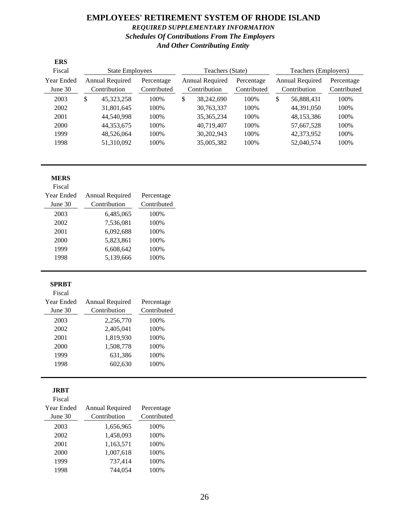### **EMPLOYEES' RETIREMENT SYSTEM OF RHODE ISLAND** *REQUIRED SUPPLEMENTARY INFORMATION Schedules Of Contributions From The Employers And Other Contributing Entity*

| <b>ERS</b>                      |                                 |                           |                                 |                  |                           |                                        |                           |  |
|---------------------------------|---------------------------------|---------------------------|---------------------------------|------------------|---------------------------|----------------------------------------|---------------------------|--|
| Fiscal                          | <b>State Employees</b>          |                           |                                 | Teachers (State) |                           | Teachers (Employers)                   |                           |  |
| <b>Year Ended</b><br>June $301$ | Annual Required<br>Contribution | Percentage<br>Contributed | Annual Required<br>Contribution |                  | Percentage<br>Contributed | <b>Annual Required</b><br>Contribution | Percentage<br>Contributed |  |
| 2003                            | \$<br>45, 323, 258              | 100%                      | \$                              | 38,242,690       | 100\%                     | \$<br>56,888,431                       | 100%                      |  |
| 2002                            | 31,801,645                      | 100\%                     |                                 | 30,763,337       | 100\%                     | 44.391.050                             | 100\%                     |  |
| 2001                            | 44.540.998                      | 100%                      |                                 | 35, 365, 234     | 100%                      | 48,153,386                             | 100%                      |  |
| 2000                            | 44,353,675                      | 100\%                     |                                 | 40.719.407       | 100\%                     | 57,667,528                             | 100%                      |  |
| 1999                            | 48,526,064                      | 100%                      |                                 | 30,202,943       | 100%                      | 42,373,952                             | 100%                      |  |
| 1998                            | 51,310,092                      | 100%                      |                                 | 35,005,382       | 100%                      | 52,040,574                             | 100%                      |  |

#### **MERS**

| Fiscal     |                 |             |
|------------|-----------------|-------------|
| Year Ended | Annual Required | Percentage  |
| June $30$  | Contribution    | Contributed |
| 2003       | 6,485,065       | 100%        |
| 2002       | 7,536,081       | 100%        |
| 2001       | 6,092,688       | 100\%       |
| 2000       | 5,823,861       | 100%        |
| 1999       | 6,608,642       | 100%        |
| 1998       | 5,139,666       | 100%        |
|            |                 |             |

#### **SPRBT**

#### Fiscal

| <b>Year Ended</b> | Annual Required | Percentage  |
|-------------------|-----------------|-------------|
| June 30           | Contribution    | Contributed |
| 2003              | 2,256,770       | 100%        |
| 2002              | 2,405,041       | 100%        |
| 2001              | 1,819,930       | 100%        |
| 2000              | 1,508,778       | 100%        |
| 1999              | 631,386         | 100%        |
| 1998              | 602.630         | 100%        |
|                   |                 |             |

#### **JRBT**

| v<br>M.<br>۰.<br>×<br>. .<br>۹<br>., |  |
|--------------------------------------|--|
|                                      |  |

| <b>Year Ended</b> | Annual Required | Percentage  |
|-------------------|-----------------|-------------|
| June 30           | Contribution    | Contributed |
| 2003              | 1,656,965       | 100%        |
| 2002              | 1,458,093       | 100%        |
| 2001              | 1,163,571       | 100%        |
| 2000              | 1,007,618       | 100%        |
| 1999              | 737,414         | 100%        |
| 1998              | 744,054         | 100%        |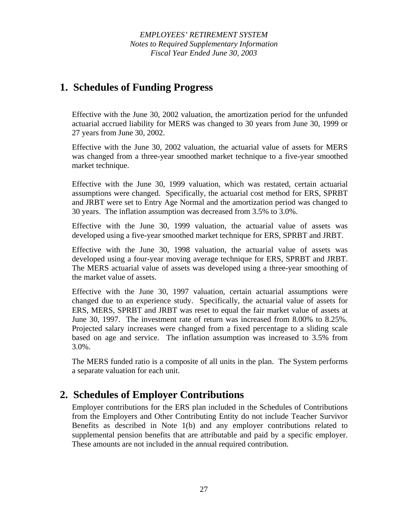*EMPLOYEES' RETIREMENT SYSTEM Notes to Required Supplementary Information Fiscal Year Ended June 30, 2003* 

### **1. Schedules of Funding Progress**

Effective with the June 30, 2002 valuation, the amortization period for the unfunded actuarial accrued liability for MERS was changed to 30 years from June 30, 1999 or 27 years from June 30, 2002.

Effective with the June 30, 2002 valuation, the actuarial value of assets for MERS was changed from a three-year smoothed market technique to a five-year smoothed market technique.

Effective with the June 30, 1999 valuation, which was restated, certain actuarial assumptions were changed. Specifically, the actuarial cost method for ERS, SPRBT and JRBT were set to Entry Age Normal and the amortization period was changed to 30 years. The inflation assumption was decreased from 3.5% to 3.0%.

Effective with the June 30, 1999 valuation, the actuarial value of assets was developed using a five-year smoothed market technique for ERS, SPRBT and JRBT.

Effective with the June 30, 1998 valuation, the actuarial value of assets was developed using a four-year moving average technique for ERS, SPRBT and JRBT. The MERS actuarial value of assets was developed using a three-year smoothing of the market value of assets.

Effective with the June 30, 1997 valuation, certain actuarial assumptions were changed due to an experience study. Specifically, the actuarial value of assets for ERS, MERS, SPRBT and JRBT was reset to equal the fair market value of assets at June 30, 1997. The investment rate of return was increased from 8.00% to 8.25%. Projected salary increases were changed from a fixed percentage to a sliding scale based on age and service. The inflation assumption was increased to 3.5% from 3.0%.

The MERS funded ratio is a composite of all units in the plan. The System performs a separate valuation for each unit.

### **2. Schedules of Employer Contributions**

Employer contributions for the ERS plan included in the Schedules of Contributions from the Employers and Other Contributing Entity do not include Teacher Survivor Benefits as described in Note 1(b) and any employer contributions related to supplemental pension benefits that are attributable and paid by a specific employer. These amounts are not included in the annual required contribution.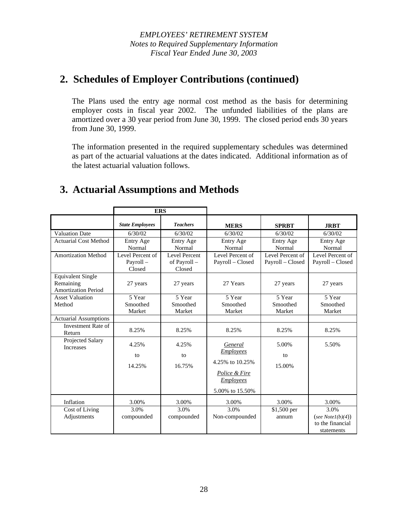# **2. Schedules of Employer Contributions (continued)**

The Plans used the entry age normal cost method as the basis for determining employer costs in fiscal year 2002. The unfunded liabilities of the plans are amortized over a 30 year period from June 30, 1999. The closed period ends 30 years from June 30, 1999.

The information presented in the required supplementary schedules was determined as part of the actuarial valuations at the dates indicated. Additional information as of the latest actuarial valuation follows.

# **3. Actuarial Assumptions and Methods**

|                                                              | <b>ERS</b>                             |                                         |                                                                  |                                      |                                                                |
|--------------------------------------------------------------|----------------------------------------|-----------------------------------------|------------------------------------------------------------------|--------------------------------------|----------------------------------------------------------------|
|                                                              | <b>State Employees</b>                 | <b>Teachers</b>                         | <b>MERS</b>                                                      | <b>SPRBT</b>                         | <b>JRBT</b>                                                    |
| <b>Valuation Date</b>                                        | 6/30/02                                | 6/30/02                                 | 6/30/02                                                          | 6/30/02                              | 6/30/02                                                        |
| <b>Actuarial Cost Method</b>                                 | Entry Age<br>Normal                    | Entry Age<br>Normal                     | Entry Age<br>Normal                                              | Entry Age<br>Normal                  | Entry Age<br>Normal                                            |
| <b>Amortization Method</b>                                   | Level Percent of<br>Payroll-<br>Closed | Level Percent<br>of Payroll -<br>Closed | Level Percent of<br>Payroll - Closed                             | Level Percent of<br>Payroll - Closed | Level Percent of<br>Payroll - Closed                           |
| <b>Equivalent Single</b><br>Remaining<br>Amortization Period | 27 years                               | 27 years                                | 27 Years                                                         | 27 years                             | 27 years                                                       |
| <b>Asset Valuation</b><br>Method                             | 5 Year<br>Smoothed<br>Market           | 5 Year<br>Smoothed<br>Market            | 5 Year<br>Smoothed<br>Market                                     | 5 Year<br>Smoothed<br>Market         | 5 Year<br>Smoothed<br>Market                                   |
| <b>Actuarial Assumptions</b>                                 |                                        |                                         |                                                                  |                                      |                                                                |
| Investment Rate of<br>Return                                 | 8.25%                                  | 8.25%                                   | 8.25%                                                            | 8.25%                                | 8.25%                                                          |
| Projected Salary<br><b>Increases</b>                         | 4.25%<br>to                            | 4.25%<br>to                             | General<br><b>Employees</b>                                      | 5.00%<br>to                          | 5.50%                                                          |
|                                                              | 14.25%                                 | 16.75%                                  | 4.25% to 10.25%<br>Police & Fire<br>Employees<br>5.00% to 15.50% | 15.00%                               |                                                                |
| Inflation                                                    | 3.00%                                  | 3.00%                                   | 3.00%                                                            | 3.00%                                | 3.00%                                                          |
| Cost of Living<br>Adjustments                                | 3.0%<br>compounded                     | 3.0%<br>compounded                      | 3.0%<br>Non-compounded                                           | \$1,500 per<br>annum                 | 3.0%<br>(see $Note1(b)(4)$ )<br>to the financial<br>statements |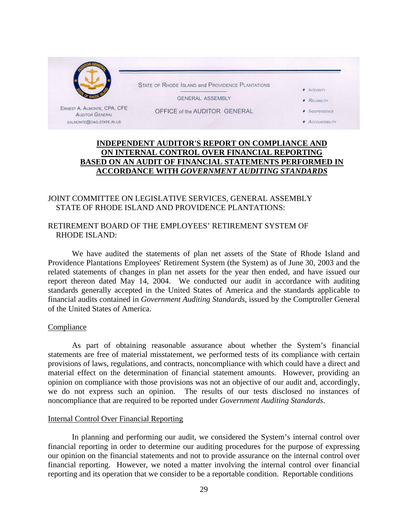

### **INDEPENDENT AUDITOR'S REPORT ON COMPLIANCE AND ON INTERNAL CONTROL OVER FINANCIAL REPORTING BASED ON AN AUDIT OF FINANCIAL STATEMENTS PERFORMED IN ACCORDANCE WITH** *GOVERNMENT AUDITING STANDARDS*

### JOINT COMMITTEE ON LEGISLATIVE SERVICES, GENERAL ASSEMBLY STATE OF RHODE ISLAND AND PROVIDENCE PLANTATIONS:

### RETIREMENT BOARD OF THE EMPLOYEES' RETIREMENT SYSTEM OF RHODE ISLAND:

We have audited the statements of plan net assets of the State of Rhode Island and Providence Plantations Employees' Retirement System (the System) as of June 30, 2003 and the related statements of changes in plan net assets for the year then ended, and have issued our report thereon dated May 14, 2004. We conducted our audit in accordance with auditing standards generally accepted in the United States of America and the standards applicable to financial audits contained in *Government Auditing Standards*, issued by the Comptroller General of the United States of America.

#### **Compliance**

As part of obtaining reasonable assurance about whether the System's financial statements are free of material misstatement, we performed tests of its compliance with certain provisions of laws, regulations, and contracts, noncompliance with which could have a direct and material effect on the determination of financial statement amounts. However, providing an opinion on compliance with those provisions was not an objective of our audit and, accordingly, we do not express such an opinion. The results of our tests disclosed no instances of noncompliance that are required to be reported under *Government Auditing Standards*.

#### Internal Control Over Financial Reporting

In planning and performing our audit, we considered the System's internal control over financial reporting in order to determine our auditing procedures for the purpose of expressing our opinion on the financial statements and not to provide assurance on the internal control over financial reporting. However, we noted a matter involving the internal control over financial reporting and its operation that we consider to be a reportable condition. Reportable conditions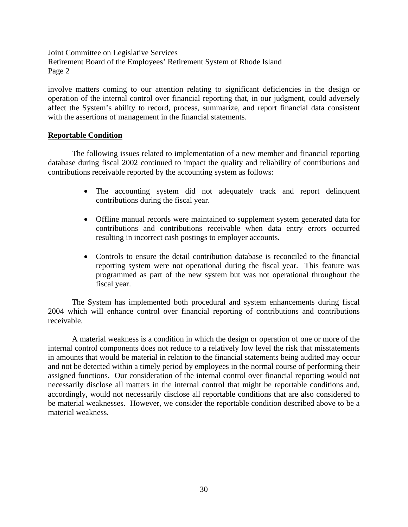Joint Committee on Legislative Services Retirement Board of the Employees' Retirement System of Rhode Island Page 2

involve matters coming to our attention relating to significant deficiencies in the design or operation of the internal control over financial reporting that, in our judgment, could adversely affect the System's ability to record, process, summarize, and report financial data consistent with the assertions of management in the financial statements.

### **Reportable Condition**

The following issues related to implementation of a new member and financial reporting database during fiscal 2002 continued to impact the quality and reliability of contributions and contributions receivable reported by the accounting system as follows:

- The accounting system did not adequately track and report delinquent contributions during the fiscal year.
- Offline manual records were maintained to supplement system generated data for contributions and contributions receivable when data entry errors occurred resulting in incorrect cash postings to employer accounts.
- Controls to ensure the detail contribution database is reconciled to the financial reporting system were not operational during the fiscal year. This feature was programmed as part of the new system but was not operational throughout the fiscal year.

The System has implemented both procedural and system enhancements during fiscal 2004 which will enhance control over financial reporting of contributions and contributions receivable.

 A material weakness is a condition in which the design or operation of one or more of the internal control components does not reduce to a relatively low level the risk that misstatements in amounts that would be material in relation to the financial statements being audited may occur and not be detected within a timely period by employees in the normal course of performing their assigned functions. Our consideration of the internal control over financial reporting would not necessarily disclose all matters in the internal control that might be reportable conditions and, accordingly, would not necessarily disclose all reportable conditions that are also considered to be material weaknesses. However, we consider the reportable condition described above to be a material weakness.